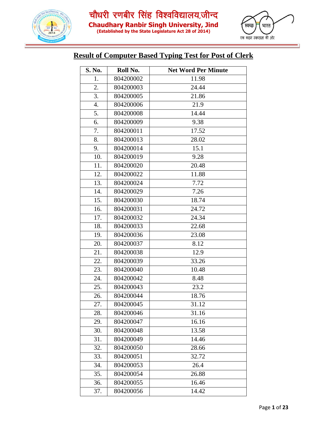



#### **Result of Computer Based Typing Test for Post of Clerk**

| S. No. | Roll No.  | <b>Net Word Per Minute</b> |
|--------|-----------|----------------------------|
| 1.     | 804200002 | 11.98                      |
| 2.     | 804200003 | 24.44                      |
| 3.     | 804200005 | 21.86                      |
| 4.     | 804200006 | 21.9                       |
| 5.     | 804200008 | 14.44                      |
| 6.     | 804200009 | 9.38                       |
| 7.     | 804200011 | 17.52                      |
| 8.     | 804200013 | 28.02                      |
| 9.     | 804200014 | 15.1                       |
| 10.    | 804200019 | 9.28                       |
| 11.    | 804200020 | 20.48                      |
| 12.    | 804200022 | 11.88                      |
| 13.    | 804200024 | 7.72                       |
| 14.    | 804200029 | 7.26                       |
| 15.    | 804200030 | 18.74                      |
| 16.    | 804200031 | 24.72                      |
| 17.    | 804200032 | 24.34                      |
| 18.    | 804200033 | 22.68                      |
| 19.    | 804200036 | 23.08                      |
| 20.    | 804200037 | 8.12                       |
| 21.    | 804200038 | 12.9                       |
| 22.    | 804200039 | 33.26                      |
| 23.    | 804200040 | 10.48                      |
| 24.    | 804200042 | 8.48                       |
| 25.    | 804200043 | 23.2                       |
| 26.    | 804200044 | 18.76                      |
| 27.    | 804200045 | 31.12                      |
| 28.    | 804200046 | 31.16                      |
| 29.    | 804200047 | 16.16                      |
| 30.    | 804200048 | 13.58                      |
| 31.    | 804200049 | 14.46                      |
| 32.    | 804200050 | 28.66                      |
| 33.    | 804200051 | 32.72                      |
| 34.    | 804200053 | 26.4                       |
| 35.    | 804200054 | 26.88                      |
| 36.    | 804200055 | 16.46                      |
| 37.    | 804200056 | 14.42                      |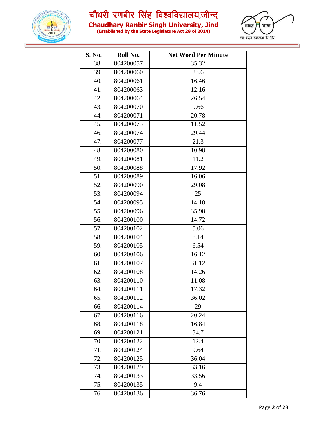



| <u> 1888 - 1898 - 1898 - 1899 - 1899 - 1899 - 1899 - 1899 - 1899 - 1899 - 1899 - 1899 - 1899 - 1899 - 1899 - 189</u> |  |
|----------------------------------------------------------------------------------------------------------------------|--|
| (Established by the State Legislature Act 28 of 2014)                                                                |  |

| S. No. | Roll No.  | <b>Net Word Per Minute</b> |
|--------|-----------|----------------------------|
| 38.    | 804200057 | 35.32                      |
| 39.    | 804200060 | 23.6                       |
| 40.    | 804200061 | 16.46                      |
| 41.    | 804200063 | 12.16                      |
| 42.    | 804200064 | 26.54                      |
| 43.    | 804200070 | 9.66                       |
| 44.    | 804200071 | 20.78                      |
| 45.    | 804200073 | 11.52                      |
| 46.    | 804200074 | 29.44                      |
| 47.    | 804200077 | 21.3                       |
| 48.    | 804200080 | 10.98                      |
| 49.    | 804200081 | 11.2                       |
| 50.    | 804200088 | 17.92                      |
| 51.    | 804200089 | 16.06                      |
| 52.    | 804200090 | 29.08                      |
| 53.    | 804200094 | 25                         |
| 54.    | 804200095 | 14.18                      |
| 55.    | 804200096 | 35.98                      |
| 56.    | 804200100 | 14.72                      |
| 57.    | 804200102 | 5.06                       |
| 58.    | 804200104 | 8.14                       |
| 59.    | 804200105 | 6.54                       |
| 60.    | 804200106 | 16.12                      |
| 61.    | 804200107 | 31.12                      |
| 62.    | 804200108 | 14.26                      |
| 63.    | 804200110 | 11.08                      |
| 64.    | 804200111 | 17.32                      |
| 65.    | 804200112 | 36.02                      |
| 66.    | 804200114 | 29                         |
| 67.    | 804200116 | 20.24                      |
| 68.    | 804200118 | 16.84                      |
| 69.    | 804200121 | 34.7                       |
| 70.    | 804200122 | 12.4                       |
| 71.    | 804200124 | 9.64                       |
| 72.    | 804200125 | 36.04                      |
| 73.    | 804200129 | 33.16                      |
| 74.    | 804200133 | 33.56                      |
| 75.    | 804200135 | 9.4                        |
| 76.    | 804200136 | 36.76                      |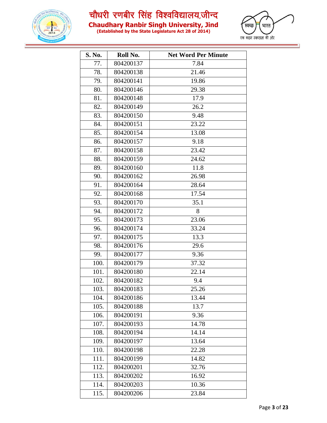

**Chaudhary Ranbir Singh University, Jind (Established by the State Legislature Act 28 of 2014)**



| S. No. | Roll No.  | <b>Net Word Per Minute</b> |
|--------|-----------|----------------------------|
| 77.    | 804200137 | 7.84                       |
| 78.    | 804200138 | 21.46                      |
| 79.    | 804200141 | 19.86                      |
| 80.    | 804200146 | 29.38                      |
| 81.    | 804200148 | 17.9                       |
| 82.    | 804200149 | 26.2                       |
| 83.    | 804200150 | 9.48                       |
| 84.    | 804200151 | 23.22                      |
| 85.    | 804200154 | 13.08                      |
| 86.    | 804200157 | 9.18                       |
| 87.    | 804200158 | 23.42                      |
| 88.    | 804200159 | 24.62                      |
| 89.    | 804200160 | 11.8                       |
| 90.    | 804200162 | 26.98                      |
| 91.    | 804200164 | 28.64                      |
| 92.    | 804200168 | 17.54                      |
| 93.    | 804200170 | 35.1                       |
| 94.    | 804200172 | 8                          |
| 95.    | 804200173 | 23.06                      |
| 96.    | 804200174 | 33.24                      |
| 97.    | 804200175 | 13.3                       |
| 98.    | 804200176 | 29.6                       |
| 99.    | 804200177 | 9.36                       |
| 100.   | 804200179 | 37.32                      |
| 101.   | 804200180 | 22.14                      |
| 102.   | 804200182 | 9.4                        |
| 103.   | 804200183 | 25.26                      |
| 104.   | 804200186 | 13.44                      |
| 105.   | 804200188 | 13.7                       |
| 106.   | 804200191 | 9.36                       |
| 107.   | 804200193 | 14.78                      |
| 108.   | 804200194 | 14.14                      |
| 109.   | 804200197 | 13.64                      |
| 110.   | 804200198 | 22.28                      |
| 111.   | 804200199 | 14.82                      |
| 112.   | 804200201 | 32.76                      |
| 113.   | 804200202 | 16.92                      |
| 114.   | 804200203 | 10.36                      |
| 115.   | 804200206 | 23.84                      |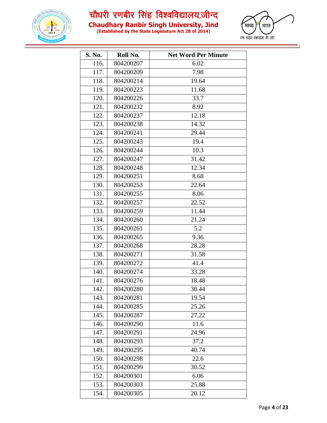



|  | (Established by the State Legislature Act 28 of 2014) |
|--|-------------------------------------------------------|

| S. No. | Roll No.  | <b>Net Word Per Minute</b> |
|--------|-----------|----------------------------|
| 116.   | 804200207 | 6.02                       |
| 117.   | 804200209 | 7.98                       |
| 118.   | 804200214 | 19.64                      |
| 119.   | 804200223 | 11.68                      |
| 120.   | 804200226 | 33.7                       |
| 121.   | 804200232 | 8.92                       |
| 122.   | 804200237 | 12.18                      |
| 123.   | 804200238 | 14.32                      |
| 124.   | 804200241 | 29.44                      |
| 125.   | 804200243 | 19.4                       |
| 126.   | 804200244 | 10.3                       |
| 127.   | 804200247 | 31.42                      |
| 128.   | 804200248 | 12.34                      |
| 129.   | 804200251 | 8.68                       |
| 130.   | 804200253 | 22.64                      |
| 131.   | 804200255 | 8.06                       |
| 132.   | 804200257 | 22.52                      |
| 133.   | 804200259 | 11.44                      |
| 134.   | 804200260 | 21.24                      |
| 135.   | 804200261 | 5.2                        |
| 136.   | 804200265 | 9.36                       |
| 137.   | 804200268 | 28.28                      |
| 138.   | 804200271 | 31.58                      |
| 139.   | 804200272 | 41.4                       |
| 140.   | 804200274 | 33.28                      |
| 141.   | 804200276 | 18.48                      |
| 142.   | 804200280 | 30.44                      |
| 143.   | 804200281 | 19.54                      |
| 144.   | 804200285 | 25.26                      |
| 145.   | 804200287 | 27.22                      |
| 146.   | 804200290 | 11.6                       |
| 147.   | 804200291 | 24.96                      |
| 148.   | 804200293 | 37.2                       |
| 149.   | 804200295 | 40.74                      |
| 150.   | 804200298 | 22.6                       |
| 151.   | 804200299 | 30.52                      |
| 152.   | 804200301 | 6.06                       |
| 153.   | 804200303 | 25.88                      |
| 154.   | 804200305 | 20.12                      |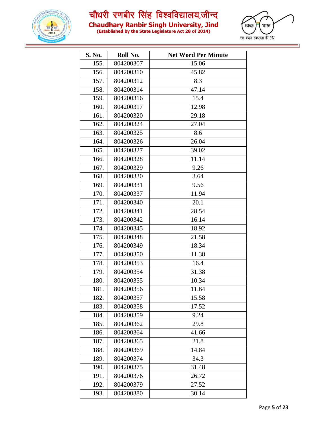



| (Established by the State Legislature Act 28 of 2014) |  |
|-------------------------------------------------------|--|

| S. No. | Roll No.  | <b>Net Word Per Minute</b> |
|--------|-----------|----------------------------|
| 155.   | 804200307 | 15.06                      |
| 156.   | 804200310 | 45.82                      |
| 157.   | 804200312 | 8.3                        |
| 158.   | 804200314 | 47.14                      |
| 159.   | 804200316 | 15.4                       |
| 160.   | 804200317 | 12.98                      |
| 161.   | 804200320 | 29.18                      |
| 162.   | 804200324 | 27.04                      |
| 163.   | 804200325 | 8.6                        |
| 164.   | 804200326 | 26.04                      |
| 165.   | 804200327 | 39.02                      |
| 166.   | 804200328 | 11.14                      |
| 167.   | 804200329 | 9.26                       |
| 168.   | 804200330 | 3.64                       |
| 169.   | 804200331 | 9.56                       |
| 170.   | 804200337 | 11.94                      |
| 171.   | 804200340 | 20.1                       |
| 172.   | 804200341 | 28.54                      |
| 173.   | 804200342 | 16.14                      |
| 174.   | 804200345 | 18.92                      |
| 175.   | 804200348 | 21.58                      |
| 176.   | 804200349 | 18.34                      |
| 177.   | 804200350 | 11.38                      |
| 178.   | 804200353 | 16.4                       |
| 179.   | 804200354 | 31.38                      |
| 180.   | 804200355 | 10.34                      |
| 181.   | 804200356 | 11.64                      |
| 182.   | 804200357 | 15.58                      |
| 183.   | 804200358 | 17.52                      |
| 184.   | 804200359 | 9.24                       |
| 185.   | 804200362 | 29.8                       |
| 186.   | 804200364 | 41.66                      |
| 187.   | 804200365 | 21.8                       |
| 188.   | 804200369 | 14.84                      |
| 189.   | 804200374 | 34.3                       |
| 190.   | 804200375 | 31.48                      |
| 191.   | 804200376 | 26.72                      |
| 192.   | 804200379 | 27.52                      |
| 193.   | 804200380 | 30.14                      |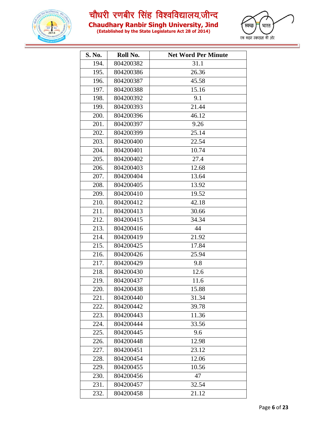



| (Established by the State Legislature Act 28 of 2014) |  |
|-------------------------------------------------------|--|

| S. No. | Roll No.  | <b>Net Word Per Minute</b> |
|--------|-----------|----------------------------|
| 194.   | 804200382 | 31.1                       |
| 195.   | 804200386 | 26.36                      |
| 196.   | 804200387 | 45.58                      |
| 197.   | 804200388 | 15.16                      |
| 198.   | 804200392 | 9.1                        |
| 199.   | 804200393 | 21.44                      |
| 200.   | 804200396 | 46.12                      |
| 201.   | 804200397 | 9.26                       |
| 202.   | 804200399 | 25.14                      |
| 203.   | 804200400 | 22.54                      |
| 204.   | 804200401 | 10.74                      |
| 205.   | 804200402 | 27.4                       |
| 206.   | 804200403 | 12.68                      |
| 207.   | 804200404 | 13.64                      |
| 208.   | 804200405 | 13.92                      |
| 209.   | 804200410 | 19.52                      |
| 210.   | 804200412 | 42.18                      |
| 211.   | 804200413 | 30.66                      |
| 212.   | 804200415 | 34.34                      |
| 213.   | 804200416 | 44                         |
| 214.   | 804200419 | 21.92                      |
| 215.   | 804200425 | 17.84                      |
| 216.   | 804200426 | 25.94                      |
| 217.   | 804200429 | 9.8                        |
| 218.   | 804200430 | 12.6                       |
| 219.   | 804200437 | 11.6                       |
| 220.   | 804200438 | 15.88                      |
| 221.   | 804200440 | 31.34                      |
| 222.   | 804200442 | 39.78                      |
| 223.   | 804200443 | 11.36                      |
| 224.   | 804200444 | 33.56                      |
| 225.   | 804200445 | 9.6                        |
| 226.   | 804200448 | 12.98                      |
| 227.   | 804200451 | 23.12                      |
| 228.   | 804200454 | 12.06                      |
| 229.   | 804200455 | 10.56                      |
| 230.   | 804200456 | 47                         |
| 231.   | 804200457 | 32.54                      |
| 232.   | 804200458 | 21.12                      |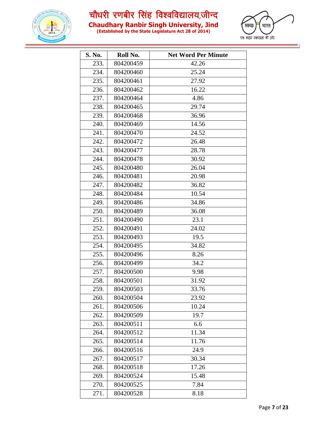



| (Established by the State Legislature Act 28 of 2014) |  |
|-------------------------------------------------------|--|

| S. No. | Roll No.  | <b>Net Word Per Minute</b> |
|--------|-----------|----------------------------|
| 233.   | 804200459 | 42.26                      |
| 234.   | 804200460 | 25.24                      |
| 235.   | 804200461 | 27.92                      |
| 236.   | 804200462 | 16.22                      |
| 237.   | 804200464 | 4.86                       |
| 238.   | 804200465 | 29.74                      |
| 239.   | 804200468 | 36.96                      |
| 240.   | 804200469 | 14.56                      |
| 241.   | 804200470 | 24.52                      |
| 242.   | 804200472 | 26.48                      |
| 243.   | 804200477 | 28.78                      |
| 244.   | 804200478 | 30.92                      |
| 245.   | 804200480 | 26.04                      |
| 246.   | 804200481 | 20.98                      |
| 247.   | 804200482 | 36.82                      |
| 248.   | 804200484 | 10.54                      |
| 249.   | 804200486 | 34.86                      |
| 250.   | 804200489 | 36.08                      |
| 251.   | 804200490 | 23.1                       |
| 252.   | 804200491 | 24.02                      |
| 253.   | 804200493 | 19.5                       |
| 254.   | 804200495 | 34.82                      |
| 255.   | 804200496 | 8.26                       |
| 256.   | 804200499 | 34.2                       |
| 257.   | 804200500 | 9.98                       |
| 258.   | 804200501 | 31.92                      |
| 259.   | 804200503 | 33.76                      |
| 260.   | 804200504 | 23.92                      |
| 261.   | 804200506 | 10.24                      |
| 262.   | 804200509 | 19.7                       |
| 263.   | 804200511 | 6.6                        |
| 264.   | 804200512 | 11.34                      |
| 265.   | 804200514 | 11.76                      |
| 266.   | 804200516 | 24.9                       |
| 267.   | 804200517 | 30.34                      |
| 268.   | 804200518 | 17.26                      |
| 269.   | 804200524 | 15.48                      |
| 270.   | 804200525 | 7.84                       |
| 271.   | 804200528 | 8.18                       |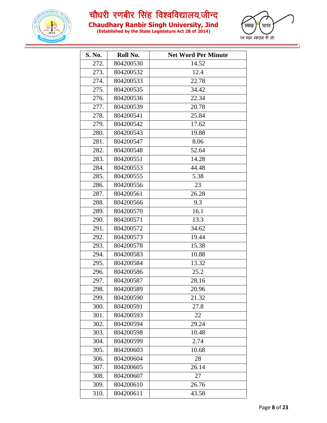



| (Established by the State Legislature Act 28 of 2014) |  |
|-------------------------------------------------------|--|

| S. No. | Roll No.  | <b>Net Word Per Minute</b> |
|--------|-----------|----------------------------|
| 272.   | 804200530 | 14.52                      |
| 273.   | 804200532 | 12.4                       |
| 274.   | 804200533 | 22.78                      |
| 275.   | 804200535 | 34.42                      |
| 276.   | 804200536 | 22.34                      |
| 277.   | 804200539 | 20.78                      |
| 278.   | 804200541 | 25.84                      |
| 279.   | 804200542 | 17.62                      |
| 280.   | 804200543 | 19.88                      |
| 281.   | 804200547 | 8.06                       |
| 282.   | 804200548 | 52.64                      |
| 283.   | 804200551 | 14.28                      |
| 284.   | 804200553 | 44.48                      |
| 285.   | 804200555 | 5.38                       |
| 286.   | 804200556 | 23                         |
| 287.   | 804200561 | 26.28                      |
| 288.   | 804200566 | 9.3                        |
| 289.   | 804200570 | 16.1                       |
| 290.   | 804200571 | 13.3                       |
| 291.   | 804200572 | 34.62                      |
| 292.   | 804200573 | 19.44                      |
| 293.   | 804200578 | 15.38                      |
| 294.   | 804200583 | 10.88                      |
| 295.   | 804200584 | 13.32                      |
| 296.   | 804200586 | 25.2                       |
| 297.   | 804200587 | 28.16                      |
| 298.   | 804200589 | 20.96                      |
| 299.   | 804200590 | 21.32                      |
| 300.   | 804200591 | 27.8                       |
| 301.   | 804200593 | 22                         |
| 302.   | 804200594 | 29.24                      |
| 303.   | 804200598 | 10.48                      |
| 304.   | 804200599 | 2.74                       |
| 305.   | 804200603 | 10.68                      |
| 306.   | 804200604 | 28                         |
| 307.   | 804200605 | 26.14                      |
| 308.   | 804200607 | 27                         |
| 309.   | 804200610 | 26.76                      |
| 310.   | 804200611 | 43.58                      |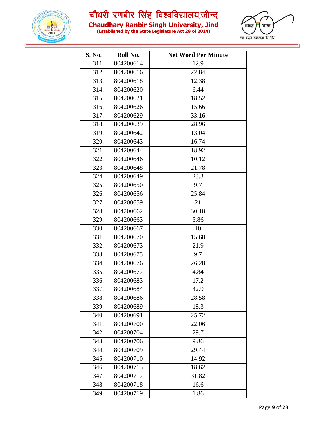



| (Established by the State Legislature Act 28 of 2014) |  |
|-------------------------------------------------------|--|

| S. No. | Roll No.  | <b>Net Word Per Minute</b> |
|--------|-----------|----------------------------|
| 311.   | 804200614 | 12.9                       |
| 312.   | 804200616 | 22.84                      |
| 313.   | 804200618 | 12.38                      |
| 314.   | 804200620 | 6.44                       |
| 315.   | 804200621 | 18.52                      |
| 316.   | 804200626 | 15.66                      |
| 317.   | 804200629 | 33.16                      |
| 318.   | 804200639 | 28.96                      |
| 319.   | 804200642 | 13.04                      |
| 320.   | 804200643 | 16.74                      |
| 321.   | 804200644 | 18.92                      |
| 322.   | 804200646 | 10.12                      |
| 323.   | 804200648 | 21.78                      |
| 324.   | 804200649 | 23.3                       |
| 325.   | 804200650 | 9.7                        |
| 326.   | 804200656 | 25.84                      |
| 327.   | 804200659 | 21                         |
| 328.   | 804200662 | 30.18                      |
| 329.   | 804200663 | 5.86                       |
| 330.   | 804200667 | 10                         |
| 331.   | 804200670 | 15.68                      |
| 332.   | 804200673 | 21.9                       |
| 333.   | 804200675 | 9.7                        |
| 334.   | 804200676 | 26.28                      |
| 335.   | 804200677 | 4.84                       |
| 336.   | 804200683 | 17.2                       |
| 337.   | 804200684 | 42.9                       |
| 338.   | 804200686 | 28.58                      |
| 339.   | 804200689 | 18.3                       |
| 340.   | 804200691 | 25.72                      |
| 341.   | 804200700 | 22.06                      |
| 342.   | 804200704 | 29.7                       |
| 343.   | 804200706 | 9.86                       |
| 344.   | 804200709 | 29.44                      |
| 345.   | 804200710 | 14.92                      |
| 346.   | 804200713 | 18.62                      |
| 347.   | 804200717 | 31.82                      |
| 348.   | 804200718 | 16.6                       |
| 349.   | 804200719 | 1.86                       |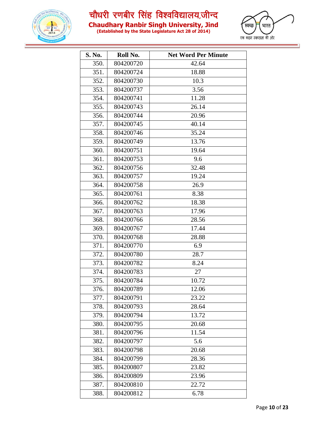

**Chaudhary Ranbir Singh University, Jind (Established by the State Legislature Act 28 of 2014)**



| S. No. | Roll No.  | <b>Net Word Per Minute</b> |
|--------|-----------|----------------------------|
| 350.   | 804200720 | 42.64                      |
| 351.   | 804200724 | 18.88                      |
| 352.   | 804200730 | 10.3                       |
| 353.   | 804200737 | 3.56                       |
| 354.   | 804200741 | 11.28                      |
| 355.   | 804200743 | 26.14                      |
| 356.   | 804200744 | 20.96                      |
| 357.   | 804200745 | 40.14                      |
| 358.   | 804200746 | 35.24                      |
| 359.   | 804200749 | 13.76                      |
| 360.   | 804200751 | 19.64                      |
| 361.   | 804200753 | 9.6                        |
| 362.   | 804200756 | 32.48                      |
| 363.   | 804200757 | 19.24                      |
| 364.   | 804200758 | 26.9                       |
| 365.   | 804200761 | 8.38                       |
| 366.   | 804200762 | 18.38                      |
| 367.   | 804200763 | 17.96                      |
| 368.   | 804200766 | 28.56                      |
| 369.   | 804200767 | 17.44                      |
| 370.   | 804200768 | 28.88                      |
| 371.   | 804200770 | 6.9                        |
| 372.   | 804200780 | 28.7                       |
| 373.   | 804200782 | 8.24                       |
| 374.   | 804200783 | 27                         |
| 375.   | 804200784 | 10.72                      |
| 376.   | 804200789 | 12.06                      |
| 377.   | 804200791 | 23.22                      |
| 378.   | 804200793 | 28.64                      |
| 379.   | 804200794 | 13.72                      |
| 380.   | 804200795 | 20.68                      |
| 381.   | 804200796 | 11.54                      |
| 382.   | 804200797 | 5.6                        |
| 383.   | 804200798 | 20.68                      |
| 384.   | 804200799 | 28.36                      |
| 385.   | 804200807 | 23.82                      |
| 386.   | 804200809 | 23.96                      |
| 387.   | 804200810 | 22.72                      |
| 388.   | 804200812 | 6.78                       |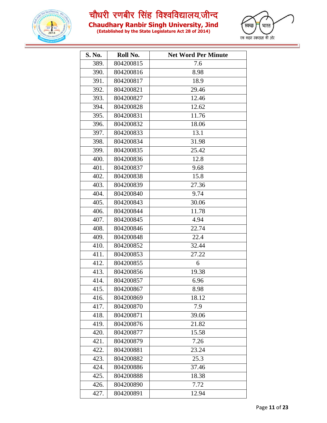

**Chaudhary Ranbir Singh University, Jind**

**(Established by the State Legislature Act 28 of 2014)**



| S. No. | Roll No.  | <b>Net Word Per Minute</b> |
|--------|-----------|----------------------------|
| 389.   | 804200815 | 7.6                        |
| 390.   | 804200816 | 8.98                       |
| 391.   | 804200817 | 18.9                       |
| 392.   | 804200821 | 29.46                      |
| 393.   | 804200827 | 12.46                      |
| 394.   | 804200828 | 12.62                      |
| 395.   | 804200831 | 11.76                      |
| 396.   | 804200832 | 18.06                      |
| 397.   | 804200833 | 13.1                       |
| 398.   | 804200834 | 31.98                      |
| 399.   | 804200835 | 25.42                      |
| 400.   | 804200836 | 12.8                       |
| 401.   | 804200837 | 9.68                       |
| 402.   | 804200838 | 15.8                       |
| 403.   | 804200839 | 27.36                      |
| 404.   | 804200840 | 9.74                       |
| 405.   | 804200843 | 30.06                      |
| 406.   | 804200844 | 11.78                      |
| 407.   | 804200845 | 4.94                       |
| 408.   | 804200846 | 22.74                      |
| 409.   | 804200848 | 22.4                       |
| 410.   | 804200852 | 32.44                      |
| 411.   | 804200853 | 27.22                      |
| 412.   | 804200855 | 6                          |
| 413.   | 804200856 | 19.38                      |
| 414.   | 804200857 | 6.96                       |
| 415.   | 804200867 | 8.98                       |
| 416.   | 804200869 | 18.12                      |
| 417.   | 804200870 | 7.9                        |
| 418.   | 804200871 | 39.06                      |
| 419.   | 804200876 | 21.82                      |
| 420.   | 804200877 | 15.58                      |
| 421.   | 804200879 | 7.26                       |
| 422.   | 804200881 | 23.24                      |
| 423.   | 804200882 | 25.3                       |
| 424.   | 804200886 | 37.46                      |
| 425.   | 804200888 | 18.38                      |
| 426.   | 804200890 | 7.72                       |
| 427.   | 804200891 | 12.94                      |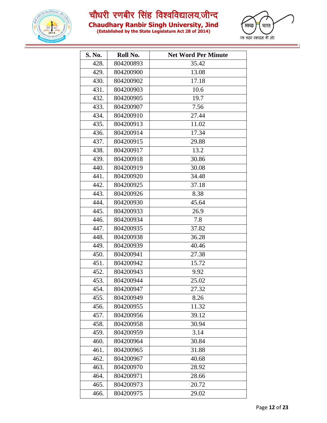



| (Established by the State Legislature Act 28 of 2014) |  |
|-------------------------------------------------------|--|

| S. No. | Roll No.  | <b>Net Word Per Minute</b> |
|--------|-----------|----------------------------|
| 428.   | 804200893 | 35.42                      |
| 429.   | 804200900 | 13.08                      |
| 430.   | 804200902 | 17.18                      |
| 431.   | 804200903 | 10.6                       |
| 432.   | 804200905 | 19.7                       |
| 433.   | 804200907 | 7.56                       |
| 434.   | 804200910 | 27.44                      |
| 435.   | 804200913 | 11.02                      |
| 436.   | 804200914 | 17.34                      |
| 437.   | 804200915 | 29.88                      |
| 438.   | 804200917 | 13.2                       |
| 439.   | 804200918 | 30.86                      |
| 440.   | 804200919 | 30.08                      |
| 441.   | 804200920 | 34.48                      |
| 442.   | 804200925 | 37.18                      |
| 443.   | 804200926 | 8.38                       |
| 444.   | 804200930 | 45.64                      |
| 445.   | 804200933 | 26.9                       |
| 446.   | 804200934 | 7.8                        |
| 447.   | 804200935 | 37.82                      |
| 448.   | 804200938 | 36.28                      |
| 449.   | 804200939 | 40.46                      |
| 450.   | 804200941 | 27.38                      |
| 451.   | 804200942 | 15.72                      |
| 452.   | 804200943 | 9.92                       |
| 453.   | 804200944 | 25.02                      |
| 454.   | 804200947 | 27.32                      |
| 455.   | 804200949 | 8.26                       |
| 456.   | 804200955 | 11.32                      |
| 457.   | 804200956 | 39.12                      |
| 458.   | 804200958 | 30.94                      |
| 459.   | 804200959 | 3.14                       |
| 460.   | 804200964 | 30.84                      |
| 461.   | 804200965 | 31.88                      |
| 462.   | 804200967 | 40.68                      |
| 463.   | 804200970 | 28.92                      |
| 464.   | 804200971 | 28.66                      |
| 465.   | 804200973 | 20.72                      |
| 466.   | 804200975 | 29.02                      |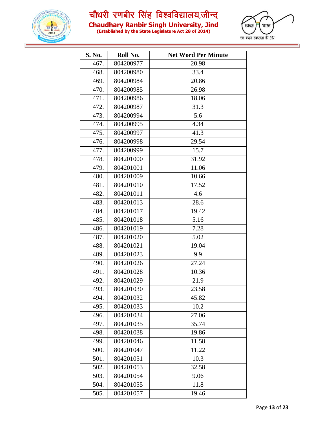

**Chaudhary Ranbir Singh University, Jind (Established by the State Legislature Act 28 of 2014)**



| S. No. | Roll No.  | <b>Net Word Per Minute</b> |
|--------|-----------|----------------------------|
| 467.   | 804200977 | 20.98                      |
| 468.   | 804200980 | 33.4                       |
| 469.   | 804200984 | 20.86                      |
| 470.   | 804200985 | 26.98                      |
| 471.   | 804200986 | 18.06                      |
| 472.   | 804200987 | 31.3                       |
| 473.   | 804200994 | 5.6                        |
| 474.   | 804200995 | 4.34                       |
| 475.   | 804200997 | 41.3                       |
| 476.   | 804200998 | 29.54                      |
| 477.   | 804200999 | 15.7                       |
| 478.   | 804201000 | 31.92                      |
| 479.   | 804201001 | 11.06                      |
| 480.   | 804201009 | 10.66                      |
| 481.   | 804201010 | 17.52                      |
| 482.   | 804201011 | 4.6                        |
| 483.   | 804201013 | 28.6                       |
| 484.   | 804201017 | 19.42                      |
| 485.   | 804201018 | 5.16                       |
| 486.   | 804201019 | 7.28                       |
| 487.   | 804201020 | 5.02                       |
| 488.   | 804201021 | 19.04                      |
| 489.   | 804201023 | 9.9                        |
| 490.   | 804201026 | 27.24                      |
| 491.   | 804201028 | 10.36                      |
| 492.   | 804201029 | 21.9                       |
| 493.   | 804201030 | 23.58                      |
| 494.   | 804201032 | 45.82                      |
| 495.   | 804201033 | 10.2                       |
| 496.   | 804201034 | 27.06                      |
| 497.   | 804201035 | 35.74                      |
| 498.   | 804201038 | 19.86                      |
| 499.   | 804201046 | 11.58                      |
| 500.   | 804201047 | 11.22                      |
| 501.   | 804201051 | 10.3                       |
| 502.   | 804201053 | 32.58                      |
| 503.   | 804201054 | 9.06                       |
| 504.   | 804201055 | 11.8                       |
| 505.   | 804201057 | 19.46                      |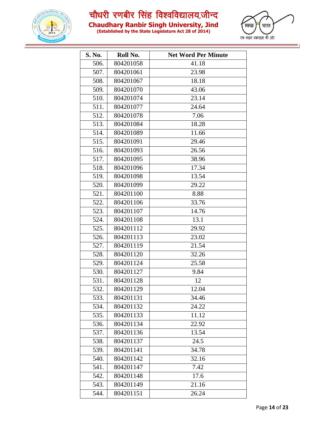

**Chaudhary Ranbir Singh University, Jind (Established by the State Legislature Act 28 of 2014)**



| S. No. | Roll No.  | <b>Net Word Per Minute</b> |
|--------|-----------|----------------------------|
| 506.   | 804201058 | 41.18                      |
| 507.   | 804201061 | 23.98                      |
| 508.   | 804201067 | 18.18                      |
| 509.   | 804201070 | 43.06                      |
| 510.   | 804201074 | 23.14                      |
| 511.   | 804201077 | 24.64                      |
| 512.   | 804201078 | 7.06                       |
| 513.   | 804201084 | 18.28                      |
| 514.   | 804201089 | 11.66                      |
| 515.   | 804201091 | 29.46                      |
| 516.   | 804201093 | 26.56                      |
| 517.   | 804201095 | 38.96                      |
| 518.   | 804201096 | 17.34                      |
| 519.   | 804201098 | 13.54                      |
| 520.   | 804201099 | 29.22                      |
| 521.   | 804201100 | 8.88                       |
| 522.   | 804201106 | 33.76                      |
| 523.   | 804201107 | 14.76                      |
| 524.   | 804201108 | 13.1                       |
| 525.   | 804201112 | 29.92                      |
| 526.   | 804201113 | 23.02                      |
| 527.   | 804201119 | 21.54                      |
| 528.   | 804201120 | 32.26                      |
| 529.   | 804201124 | 25.58                      |
| 530.   | 804201127 | 9.84                       |
| 531.   | 804201128 | 12                         |
| 532.   | 804201129 | 12.04                      |
| 533.   | 804201131 | 34.46                      |
| 534.   | 804201132 | 24.22                      |
| 535.   | 804201133 | 11.12                      |
| 536.   | 804201134 | 22.92                      |
| 537.   | 804201136 | 13.54                      |
| 538.   | 804201137 | 24.5                       |
| 539.   | 804201141 | 34.78                      |
| 540.   | 804201142 | 32.16                      |
| 541.   | 804201147 | 7.42                       |
| 542.   | 804201148 | 17.6                       |
| 543.   | 804201149 | 21.16                      |
| 544.   | 804201151 | 26.24                      |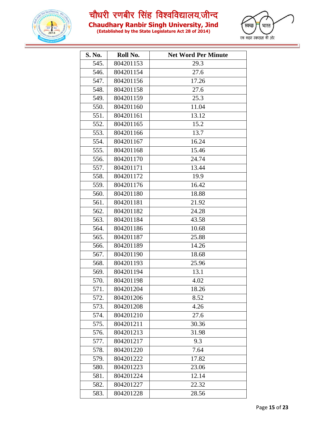



| (Established by the State Legislature Act 28 of 2014) |  |
|-------------------------------------------------------|--|

| S. No. | Roll No.  | <b>Net Word Per Minute</b> |
|--------|-----------|----------------------------|
| 545.   | 804201153 | 29.3                       |
| 546.   | 804201154 | 27.6                       |
| 547.   | 804201156 | 17.26                      |
| 548.   | 804201158 | 27.6                       |
| 549.   | 804201159 | 25.3                       |
| 550.   | 804201160 | 11.04                      |
| 551.   | 804201161 | 13.12                      |
| 552.   | 804201165 | 15.2                       |
| 553.   | 804201166 | 13.7                       |
| 554.   | 804201167 | 16.24                      |
| 555.   | 804201168 | 15.46                      |
| 556.   | 804201170 | 24.74                      |
| 557.   | 804201171 | 13.44                      |
| 558.   | 804201172 | 19.9                       |
| 559.   | 804201176 | 16.42                      |
| 560.   | 804201180 | 18.88                      |
| 561.   | 804201181 | 21.92                      |
| 562.   | 804201182 | 24.28                      |
| 563.   | 804201184 | 43.58                      |
| 564.   | 804201186 | 10.68                      |
| 565.   | 804201187 | 25.88                      |
| 566.   | 804201189 | 14.26                      |
| 567.   | 804201190 | 18.68                      |
| 568.   | 804201193 | 25.96                      |
| 569.   | 804201194 | 13.1                       |
| 570.   | 804201198 | 4.02                       |
| 571.   | 804201204 | 18.26                      |
| 572.   | 804201206 | 8.52                       |
| 573.   | 804201208 | 4.26                       |
| 574.   | 804201210 | 27.6                       |
| 575.   | 804201211 | 30.36                      |
| 576.   | 804201213 | 31.98                      |
| 577.   | 804201217 | 9.3                        |
| 578.   | 804201220 | 7.64                       |
| 579.   | 804201222 | 17.82                      |
| 580.   | 804201223 | 23.06                      |
| 581.   | 804201224 | 12.14                      |
| 582.   | 804201227 | 22.32                      |
| 583.   | 804201228 | 28.56                      |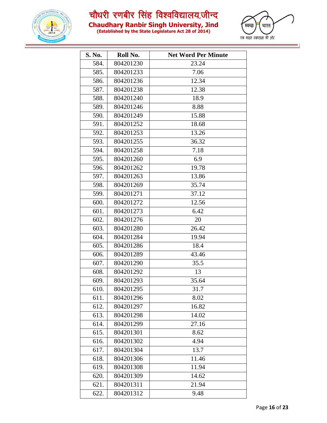

**Chaudhary Ranbir Singh University, Jind**

**(Established by the State Legislature Act 28 of 2014)**



| S. No. | Roll No.  | <b>Net Word Per Minute</b> |  |  |
|--------|-----------|----------------------------|--|--|
| 584.   | 804201230 | 23.24                      |  |  |
| 585.   | 804201233 | 7.06                       |  |  |
| 586.   | 804201236 | 12.34                      |  |  |
| 587.   | 804201238 | 12.38                      |  |  |
| 588.   | 804201240 | 18.9                       |  |  |
| 589.   | 804201246 | 8.88                       |  |  |
| 590.   | 804201249 | 15.88                      |  |  |
| 591.   | 804201252 | 18.68                      |  |  |
| 592.   | 804201253 | 13.26                      |  |  |
| 593.   | 804201255 | 36.32                      |  |  |
| 594.   | 804201258 | 7.18                       |  |  |
| 595.   | 804201260 | 6.9                        |  |  |
| 596.   | 804201262 | 19.78                      |  |  |
| 597.   | 804201263 | 13.86                      |  |  |
| 598.   | 804201269 | 35.74                      |  |  |
| 599.   | 804201271 | 37.12                      |  |  |
| 600.   | 804201272 | 12.56                      |  |  |
| 601.   | 804201273 | 6.42                       |  |  |
| 602.   | 804201276 | 20                         |  |  |
| 603.   | 804201280 | 26.42                      |  |  |
| 604.   | 804201284 | 19.94                      |  |  |
| 605.   | 804201286 | 18.4                       |  |  |
| 606.   | 804201289 | 43.46                      |  |  |
| 607.   | 804201290 | 35.5                       |  |  |
| 608.   | 804201292 | 13                         |  |  |
| 609.   | 804201293 | 35.64                      |  |  |
| 610.   | 804201295 | 31.7                       |  |  |
| 611.   | 804201296 | 8.02                       |  |  |
| 612.   | 804201297 | 16.82                      |  |  |
| 613.   | 804201298 | 14.02                      |  |  |
| 614.   | 804201299 | 27.16                      |  |  |
| 615.   | 804201301 | 8.62                       |  |  |
| 616.   | 804201302 | 4.94                       |  |  |
| 617.   | 804201304 | 13.7                       |  |  |
| 618.   | 804201306 | 11.46                      |  |  |
| 619.   | 804201308 | 11.94                      |  |  |
| 620.   | 804201309 | 14.62                      |  |  |
| 621.   | 804201311 | 21.94                      |  |  |
| 622.   | 804201312 | 9.48                       |  |  |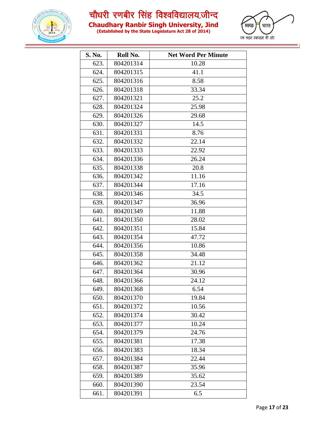



| (Established by the State Legislature Act 28 of 2014) |  |
|-------------------------------------------------------|--|

| S. No. | Roll No.  | <b>Net Word Per Minute</b> |
|--------|-----------|----------------------------|
| 623.   | 804201314 | 10.28                      |
| 624.   | 804201315 | 41.1                       |
| 625.   | 804201316 | 8.58                       |
| 626.   | 804201318 | 33.34                      |
| 627.   | 804201321 | 25.2                       |
| 628.   | 804201324 | 25.98                      |
| 629.   | 804201326 | 29.68                      |
| 630.   | 804201327 | 14.5                       |
| 631.   | 804201331 | 8.76                       |
| 632.   | 804201332 | 22.14                      |
| 633.   | 804201333 | 22.92                      |
| 634.   | 804201336 | 26.24                      |
| 635.   | 804201338 | 20.8                       |
| 636.   | 804201342 | 11.16                      |
| 637.   | 804201344 | 17.16                      |
| 638.   | 804201346 | 34.5                       |
| 639.   | 804201347 | 36.96                      |
| 640.   | 804201349 | 11.88                      |
| 641.   | 804201350 | 28.02                      |
| 642.   | 804201351 | 15.84                      |
| 643.   | 804201354 | 47.72                      |
| 644.   | 804201356 | 10.86                      |
| 645.   | 804201358 | 34.48                      |
| 646.   | 804201362 | 21.12                      |
| 647.   | 804201364 | 30.96                      |
| 648.   | 804201366 | 24.12                      |
| 649.   | 804201368 | 6.54                       |
| 650.   | 804201370 | 19.84                      |
| 651.   | 804201372 | 10.56                      |
| 652.   | 804201374 | 30.42                      |
| 653.   | 804201377 | 10.24                      |
| 654.   | 804201379 | 24.76                      |
| 655.   | 804201381 | 17.38                      |
| 656.   | 804201383 | 18.34                      |
| 657.   | 804201384 | 22.44                      |
| 658.   | 804201387 | 35.96                      |
| 659.   | 804201389 | 35.62                      |
| 660.   | 804201390 | 23.54                      |
| 661.   | 804201391 | 6.5                        |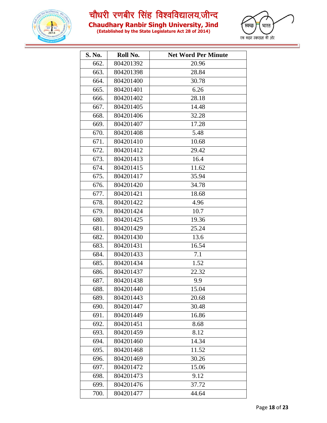



| (Established by the State Legislature Act 28 of 2014) |  |
|-------------------------------------------------------|--|

| S. No. | Roll No.  | <b>Net Word Per Minute</b> |
|--------|-----------|----------------------------|
| 662.   | 804201392 | 20.96                      |
| 663.   | 804201398 | 28.84                      |
| 664.   | 804201400 | 30.78                      |
| 665.   | 804201401 | 6.26                       |
| 666.   | 804201402 | 28.18                      |
| 667.   | 804201405 | 14.48                      |
| 668.   | 804201406 | 32.28                      |
| 669.   | 804201407 | 17.28                      |
| 670.   | 804201408 | 5.48                       |
| 671.   | 804201410 | 10.68                      |
| 672.   | 804201412 | 29.42                      |
| 673.   | 804201413 | 16.4                       |
| 674.   | 804201415 | 11.62                      |
| 675.   | 804201417 | 35.94                      |
| 676.   | 804201420 | 34.78                      |
| 677.   | 804201421 | 18.68                      |
| 678.   | 804201422 | 4.96                       |
| 679.   | 804201424 | 10.7                       |
| 680.   | 804201425 | 19.36                      |
| 681.   | 804201429 | 25.24                      |
| 682.   | 804201430 | 13.6                       |
| 683.   | 804201431 | 16.54                      |
| 684.   | 804201433 | 7.1                        |
| 685.   | 804201434 | 1.52                       |
| 686.   | 804201437 | 22.32                      |
| 687.   | 804201438 | 9.9                        |
| 688.   | 804201440 | 15.04                      |
| 689.   | 804201443 | 20.68                      |
| 690.   | 804201447 | 30.48                      |
| 691.   | 804201449 | 16.86                      |
| 692.   | 804201451 | 8.68                       |
| 693.   | 804201459 | 8.12                       |
| 694.   | 804201460 | 14.34                      |
| 695.   | 804201468 | 11.52                      |
| 696.   | 804201469 | 30.26                      |
| 697.   | 804201472 | 15.06                      |
| 698.   | 804201473 | 9.12                       |
| 699.   | 804201476 | 37.72                      |
| 700.   | 804201477 | 44.64                      |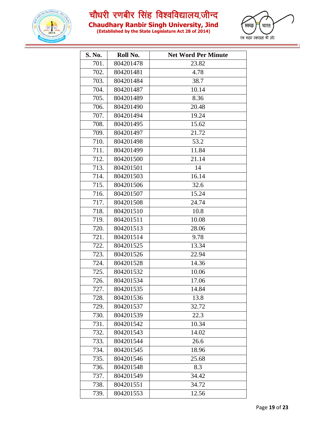



| (Established by the State Legislature Act 28 of 2014) |  |  |
|-------------------------------------------------------|--|--|

| S. No. | Roll No.  | <b>Net Word Per Minute</b> |
|--------|-----------|----------------------------|
| 701.   | 804201478 | 23.82                      |
| 702.   | 804201481 | 4.78                       |
| 703.   | 804201484 | 38.7                       |
| 704.   | 804201487 | 10.14                      |
| 705.   | 804201489 | 8.36                       |
| 706.   | 804201490 | 20.48                      |
| 707.   | 804201494 | 19.24                      |
| 708.   | 804201495 | 15.62                      |
| 709.   | 804201497 | 21.72                      |
| 710.   | 804201498 | 53.2                       |
| 711.   | 804201499 | 11.84                      |
| 712.   | 804201500 | 21.14                      |
| 713.   | 804201501 | 14                         |
| 714.   | 804201503 | 16.14                      |
| 715.   | 804201506 | 32.6                       |
| 716.   | 804201507 | 15.24                      |
| 717.   | 804201508 | 24.74                      |
| 718.   | 804201510 | 10.8                       |
| 719.   | 804201511 | 10.08                      |
| 720.   | 804201513 | 28.06                      |
| 721.   | 804201514 | 9.78                       |
| 722.   | 804201525 | 13.34                      |
| 723.   | 804201526 | 22.94                      |
| 724.   | 804201528 | 14.36                      |
| 725.   | 804201532 | 10.06                      |
| 726.   | 804201534 | 17.06                      |
| 727.   | 804201535 | 14.84                      |
| 728.   | 804201536 | 13.8                       |
| 729.   | 804201537 | 32.72                      |
| 730.   | 804201539 | 22.3                       |
| 731.   | 804201542 | 10.34                      |
| 732.   | 804201543 | 14.02                      |
| 733.   | 804201544 | 26.6                       |
| 734.   | 804201545 | 18.96                      |
| 735.   | 804201546 | 25.68                      |
| 736.   | 804201548 | 8.3                        |
| 737.   | 804201549 | 34.42                      |
| 738.   | 804201551 | 34.72                      |
| 739.   | 804201553 | 12.56                      |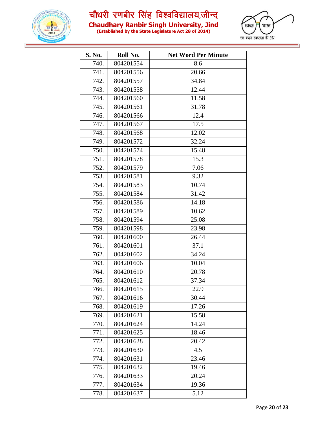

**Chaudhary Ranbir Singh University, Jind**

**(Established by the State Legislature Act 28 of 2014)**



| S. No. | Roll No.  | <b>Net Word Per Minute</b> |
|--------|-----------|----------------------------|
| 740.   | 804201554 | 8.6                        |
| 741.   | 804201556 | 20.66                      |
| 742.   | 804201557 | 34.84                      |
| 743.   | 804201558 | 12.44                      |
| 744.   | 804201560 | 11.58                      |
| 745.   | 804201561 | 31.78                      |
| 746.   | 804201566 | 12.4                       |
| 747.   | 804201567 | 17.5                       |
| 748.   | 804201568 | 12.02                      |
| 749.   | 804201572 | 32.24                      |
| 750.   | 804201574 | 15.48                      |
| 751.   | 804201578 | 15.3                       |
| 752.   | 804201579 | 7.06                       |
| 753.   | 804201581 | 9.32                       |
| 754.   | 804201583 | 10.74                      |
| 755.   | 804201584 | 31.42                      |
| 756.   | 804201586 | 14.18                      |
| 757.   | 804201589 | 10.62                      |
| 758.   | 804201594 | 25.08                      |
| 759.   | 804201598 | 23.98                      |
| 760.   | 804201600 | 26.44                      |
| 761.   | 804201601 | 37.1                       |
| 762.   | 804201602 | 34.24                      |
| 763.   | 804201606 | 10.04                      |
| 764.   | 804201610 | 20.78                      |
| 765.   | 804201612 | 37.34                      |
| 766.   | 804201615 | 22.9                       |
| 767.   | 804201616 | 30.44                      |
| 768.   | 804201619 | 17.26                      |
| 769.   | 804201621 | 15.58                      |
| 770.   | 804201624 | 14.24                      |
| 771.   | 804201625 | 18.46                      |
| 772.   | 804201628 | 20.42                      |
| 773.   | 804201630 | 4.5                        |
| 774.   | 804201631 | 23.46                      |
| 775.   | 804201632 | 19.46                      |
| 776.   | 804201633 | 20.24                      |
| 777.   | 804201634 | 19.36                      |
| 778.   | 804201637 | 5.12                       |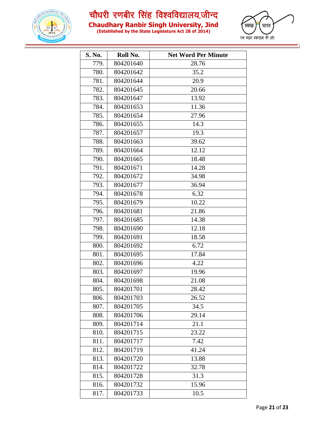



| (Established by the State Legislature Act 28 of 2014) |  |
|-------------------------------------------------------|--|

| S. No. | Roll No.  | <b>Net Word Per Minute</b> |
|--------|-----------|----------------------------|
| 779.   | 804201640 | 28.76                      |
| 780.   | 804201642 | 35.2                       |
| 781.   | 804201644 | 20.9                       |
| 782.   | 804201645 | 20.66                      |
| 783.   | 804201647 | 13.92                      |
| 784.   | 804201653 | 11.36                      |
| 785.   | 804201654 | 27.96                      |
| 786.   | 804201655 | 14.3                       |
| 787.   | 804201657 | 19.3                       |
| 788.   | 804201663 | 39.62                      |
| 789.   | 804201664 | 12.12                      |
| 790.   | 804201665 | 18.48                      |
| 791.   | 804201671 | 14.28                      |
| 792.   | 804201672 | 34.98                      |
| 793.   | 804201677 | 36.94                      |
| 794.   | 804201678 | 6.32                       |
| 795.   | 804201679 | 10.22                      |
| 796.   | 804201681 | 21.86                      |
| 797.   | 804201685 | 14.38                      |
| 798.   | 804201690 | 12.18                      |
| 799.   | 804201691 | 18.58                      |
| 800.   | 804201692 | 6.72                       |
| 801.   | 804201695 | 17.84                      |
| 802.   | 804201696 | 4.22                       |
| 803.   | 804201697 | 19.96                      |
| 804.   | 804201698 | 21.08                      |
| 805.   | 804201701 | 28.42                      |
| 806.   | 804201703 | 26.52                      |
| 807.   | 804201705 | 34.5                       |
| 808.   | 804201706 | 29.14                      |
| 809.   | 804201714 | 21.1                       |
| 810.   | 804201715 | 23.22                      |
| 811.   | 804201717 | 7.42                       |
| 812.   | 804201719 | 41.24                      |
| 813.   | 804201720 | 13.88                      |
| 814.   | 804201722 | 32.78                      |
| 815.   | 804201728 | 31.3                       |
| 816.   | 804201732 | 15.96                      |
| 817.   | 804201733 | 10.5                       |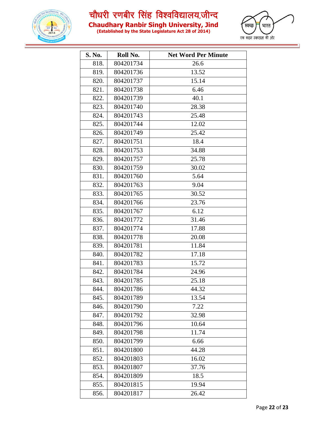



| (Established by the State Legislature Act 28 of 2014) |  |
|-------------------------------------------------------|--|

| S. No. | Roll No.  | <b>Net Word Per Minute</b> |
|--------|-----------|----------------------------|
| 818.   | 804201734 | 26.6                       |
| 819.   | 804201736 | 13.52                      |
| 820.   | 804201737 | 15.14                      |
| 821.   | 804201738 | 6.46                       |
| 822.   | 804201739 | 40.1                       |
| 823.   | 804201740 | 28.38                      |
| 824.   | 804201743 | 25.48                      |
| 825.   | 804201744 | 12.02                      |
| 826.   | 804201749 | 25.42                      |
| 827.   | 804201751 | 18.4                       |
| 828.   | 804201753 | 34.88                      |
| 829.   | 804201757 | 25.78                      |
| 830.   | 804201759 | 30.02                      |
| 831.   | 804201760 | 5.64                       |
| 832.   | 804201763 | 9.04                       |
| 833.   | 804201765 | 30.52                      |
| 834.   | 804201766 | 23.76                      |
| 835.   | 804201767 | 6.12                       |
| 836.   | 804201772 | 31.46                      |
| 837.   | 804201774 | 17.88                      |
| 838.   | 804201778 | 20.08                      |
| 839.   | 804201781 | 11.84                      |
| 840.   | 804201782 | 17.18                      |
| 841.   | 804201783 | 15.72                      |
| 842.   | 804201784 | 24.96                      |
| 843.   | 804201785 | 25.18                      |
| 844.   | 804201786 | 44.32                      |
| 845.   | 804201789 | 13.54                      |
| 846.   | 804201790 | 7.22                       |
| 847.   | 804201792 | 32.98                      |
| 848.   | 804201796 | 10.64                      |
| 849.   | 804201798 | $11.\overline{74}$         |
| 850.   | 804201799 | 6.66                       |
| 851.   | 804201800 | 44.28                      |
| 852.   | 804201803 | 16.02                      |
| 853.   | 804201807 | 37.76                      |
| 854.   | 804201809 | 18.5                       |
| 855.   | 804201815 | 19.94                      |
| 856.   | 804201817 | 26.42                      |